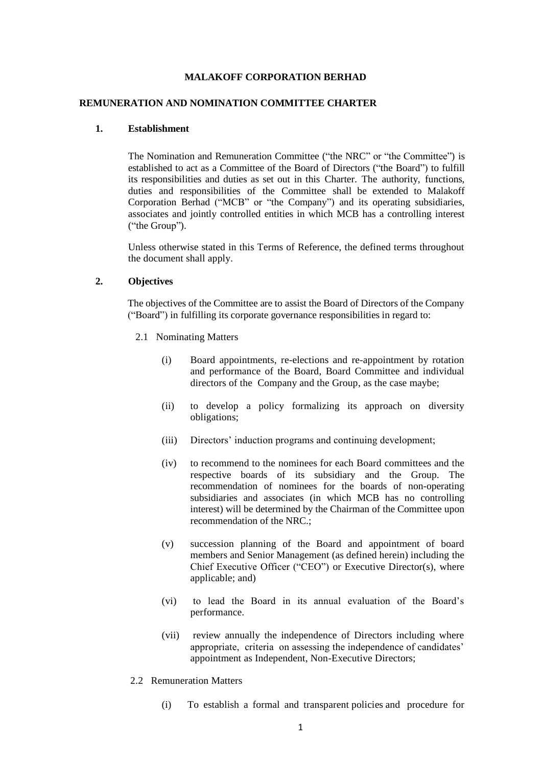### **MALAKOFF CORPORATION BERHAD**

#### **REMUNERATION AND NOMINATION COMMITTEE CHARTER**

#### **1. Establishment**

The Nomination and Remuneration Committee ("the NRC" or "the Committee") is established to act as a Committee of the Board of Directors ("the Board") to fulfill its responsibilities and duties as set out in this Charter. The authority, functions, duties and responsibilities of the Committee shall be extended to Malakoff Corporation Berhad ("MCB" or "the Company") and its operating subsidiaries, associates and jointly controlled entities in which MCB has a controlling interest ("the Group").

Unless otherwise stated in this Terms of Reference, the defined terms throughout the document shall apply.

### **2. Objectives**

The objectives of the Committee are to assist the Board of Directors of the Company ("Board") in fulfilling its corporate governance responsibilities in regard to:

- 2.1 Nominating Matters
	- (i) Board appointments, re-elections and re-appointment by rotation and performance of the Board, Board Committee and individual directors of the Company and the Group, as the case maybe;
	- (ii) to develop a policy formalizing its approach on diversity obligations;
	- (iii) Directors' induction programs and continuing development;
	- (iv) to recommend to the nominees for each Board committees and the respective boards of its subsidiary and the Group. The recommendation of nominees for the boards of non-operating subsidiaries and associates (in which MCB has no controlling interest) will be determined by the Chairman of the Committee upon recommendation of the NRC.;
	- (v) succession planning of the Board and appointment of board members and Senior Management (as defined herein) including the Chief Executive Officer ("CEO") or Executive Director(s), where applicable; and)
	- (vi) to lead the Board in its annual evaluation of the Board's performance.
	- (vii) review annually the independence of Directors including where appropriate, criteria on assessing the independence of candidates' appointment as Independent, Non-Executive Directors;
- 2.2 Remuneration Matters
	- (i) To establish a formal and transparent policies and procedure for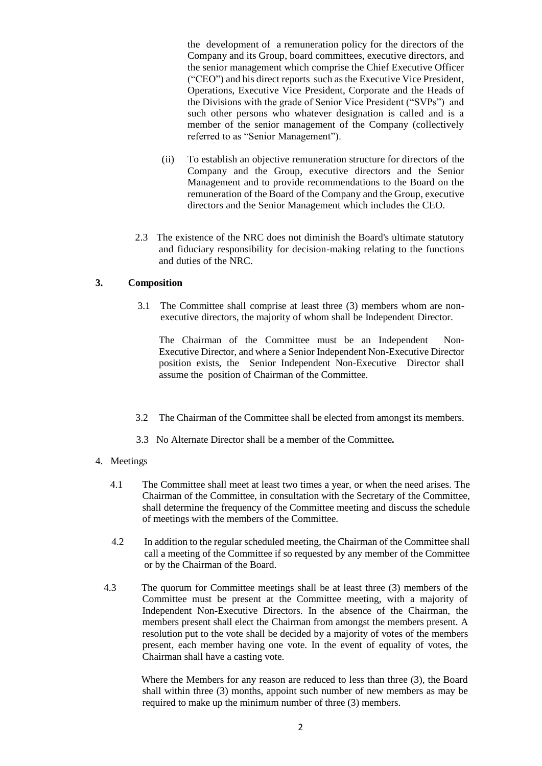the development of a remuneration policy for the directors of the Company and its Group, board committees, executive directors, and the senior management which comprise the Chief Executive Officer ("CEO") and his direct reports such as the Executive Vice President, Operations, Executive Vice President, Corporate and the Heads of the Divisions with the grade of Senior Vice President ("SVPs") and such other persons who whatever designation is called and is a member of the senior management of the Company (collectively referred to as "Senior Management").

- (ii) To establish an objective remuneration structure for directors of the Company and the Group, executive directors and the Senior Management and to provide recommendations to the Board on the remuneration of the Board of the Company and the Group, executive directors and the Senior Management which includes the CEO.
- 2.3 The existence of the NRC does not diminish the Board's ultimate statutory and fiduciary responsibility for decision-making relating to the functions and duties of the NRC.

# **3. Composition**

3.1 The Committee shall comprise at least three (3) members whom are nonexecutive directors, the majority of whom shall be Independent Director.

 The Chairman of the Committee must be an Independent Non-Executive Director, and where a Senior Independent Non-Executive Director position exists, the Senior Independent Non-Executive Director shall assume the position of Chairman of the Committee.

- 3.2 The Chairman of the Committee shall be elected from amongst its members.
- 3.3 No Alternate Director shall be a member of the Committee*.*
- 4. Meetings
	- 4.1 The Committee shall meet at least two times a year, or when the need arises. The Chairman of the Committee, in consultation with the Secretary of the Committee, shall determine the frequency of the Committee meeting and discuss the schedule of meetings with the members of the Committee.
	- 4.2In addition to the regular scheduled meeting, the Chairman of the Committee shall call a meeting of the Committee if so requested by any member of the Committee or by the Chairman of the Board.
	- 4.3 The quorum for Committee meetings shall be at least three (3) members of the Committee must be present at the Committee meeting, with a majority of Independent Non-Executive Directors. In the absence of the Chairman, the members present shall elect the Chairman from amongst the members present. A resolution put to the vote shall be decided by a majority of votes of the members present, each member having one vote. In the event of equality of votes, the Chairman shall have a casting vote.

 Where the Members for any reason are reduced to less than three (3), the Board shall within three (3) months, appoint such number of new members as may be required to make up the minimum number of three (3) members.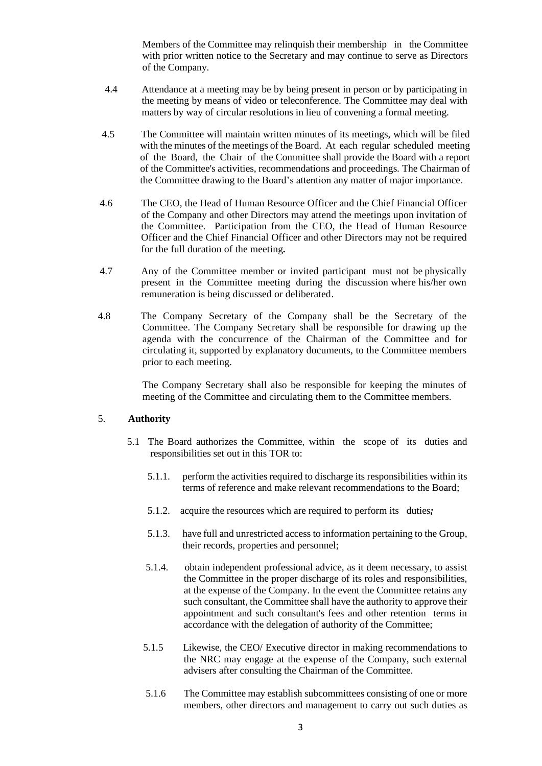Members of the Committee may relinquish their membership in the Committee with prior written notice to the Secretary and may continue to serve as Directors of the Company.

- 4.4Attendance at a meeting may be by being present in person or by participating in the meeting by means of video or teleconference. The Committee may deal with matters by way of circular resolutions in lieu of convening a formal meeting.
- 4.5 The Committee will maintain written minutes of its meetings, which will be filed with the minutes of the meetings of the Board. At each regular scheduled meeting of the Board, the Chair of the Committee shall provide the Board with a report of the Committee's activities, recommendations and proceedings. The Chairman of the Committee drawing to the Board's attention any matter of major importance.
- 4.6The CEO, the Head of Human Resource Officer and the Chief Financial Officer of the Company and other Directors may attend the meetings upon invitation of the Committee. Participation from the CEO, the Head of Human Resource Officer and the Chief Financial Officer and other Directors may not be required for the full duration of the meeting*.*
- 4.7 Any of the Committee member or invited participant must not be physically present in the Committee meeting during the discussion where his/her own remuneration is being discussed or deliberated.
- 4.8The Company Secretary of the Company shall be the Secretary of the Committee. The Company Secretary shall be responsible for drawing up the agenda with the concurrence of the Chairman of the Committee and for circulating it, supported by explanatory documents, to the Committee members prior to each meeting.

 The Company Secretary shall also be responsible for keeping the minutes of meeting of the Committee and circulating them to the Committee members.

# 5. **Authority**

- 5.1 The Board authorizes the Committee, within the scope of its duties and responsibilities set out in this TOR to:
	- 5.1.1. perform the activities required to discharge its responsibilities within its terms of reference and make relevant recommendations to the Board;
	- 5.1.2.acquire the resources which are required to perform its duties*;*
	- 5.1.3. have full and unrestricted access to information pertaining to the Group, their records, properties and personnel;
	- 5.1.4. obtain independent professional advice, as it deem necessary, to assist the Committee in the proper discharge of its roles and responsibilities, at the expense of the Company. In the event the Committee retains any such consultant, the Committee shall have the authority to approve their appointment and such consultant's fees and other retention terms in accordance with the delegation of authority of the Committee;
	- 5.1.5 Likewise, the CEO/ Executive director in making recommendations to the NRC may engage at the expense of the Company, such external advisers after consulting the Chairman of the Committee.
	- 5.1.6 The Committee may establish subcommittees consisting of one or more members, other directors and management to carry out such duties as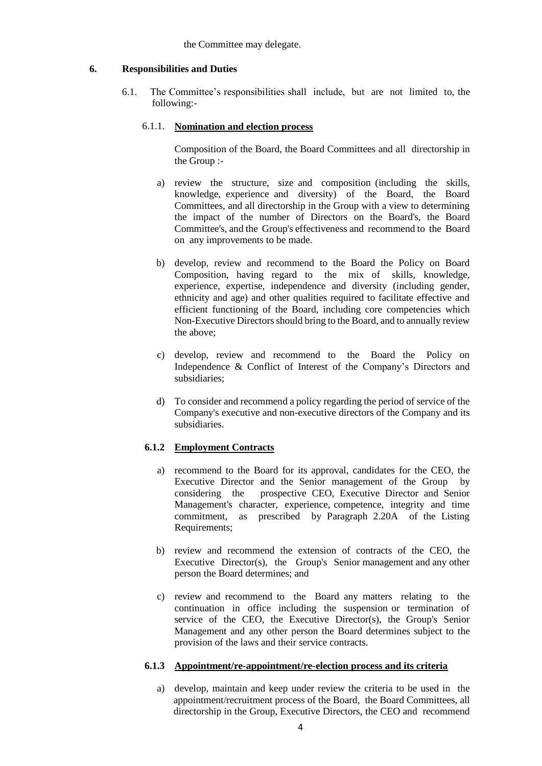#### the Committee may delegate.

### **6. Responsibilities and Duties**

6.1. The Committee's responsibilities shall include, but are not limited to, the following:-

# 6.1.1. **Nomination and election process**

Composition of the Board, the Board Committees and all directorship in the Group :-

- a) review the structure, size and composition (including the skills, knowledge, experience and diversity) of the Board, the Board Committees, and all directorship in the Group with a view to determining the impact of the number of Directors on the Board's, the Board Committee's, and the Group's effectiveness and recommend to the Board on any improvements to be made.
- b) develop, review and recommend to the Board the Policy on Board Composition, having regard to the mix of skills, knowledge, experience, expertise, independence and diversity (including gender, ethnicity and age) and other qualities required to facilitate effective and efficient functioning of the Board, including core competencies which Non-Executive Directors should bring to the Board, and to annually review the above;
- c) develop, review and recommend to the Board the Policy on Independence & Conflict of Interest of the Company's Directors and subsidiaries;
- d) To consider and recommend a policy regarding the period of service of the Company's executive and non-executive directors of the Company and its subsidiaries.

# **6.1.2 Employment Contracts**

- a) recommend to the Board for its approval, candidates for the CEO, the Executive Director and the Senior management of the Group by considering the prospective CEO, Executive Director and Senior Management's character, experience, competence, integrity and time commitment, as prescribed by Paragraph 2.20A of the Listing Requirements;
- b) review and recommend the extension of contracts of the CEO, the Executive Director(s), the Group's Senior management and any other person the Board determines; and
- c) review and recommend to the Board any matters relating to the continuation in office including the suspension or termination of service of the CEO, the Executive Director(s), the Group's Senior Management and any other person the Board determines subject to the provision of the laws and their service contracts.

### **6.1.3 Appointment/re-appointment/re-election process and its criteria**

a) develop, maintain and keep under review the criteria to be used in the appointment/recruitment process of the Board, the Board Committees, all directorship in the Group, Executive Directors, the CEO and recommend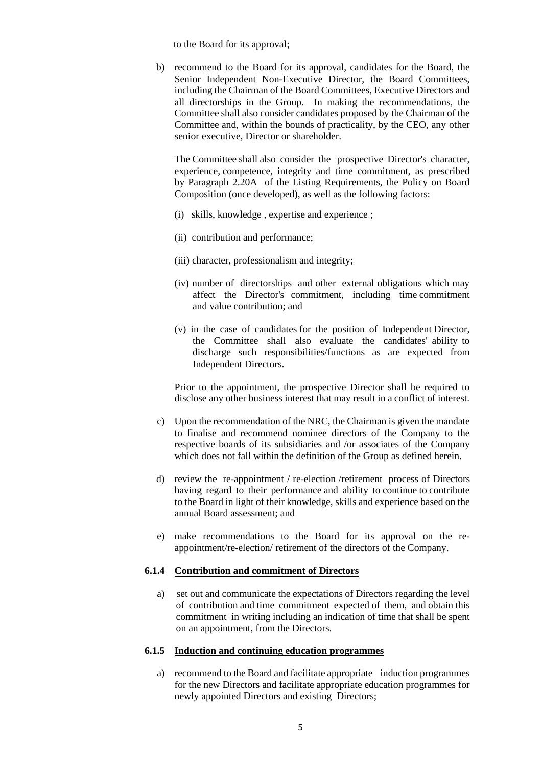to the Board for its approval;

b) recommend to the Board for its approval, candidates for the Board, the Senior Independent Non-Executive Director, the Board Committees, including the Chairman of the Board Committees, Executive Directors and all directorships in the Group. In making the recommendations, the Committee shall also consider candidates proposed by the Chairman of the Committee and, within the bounds of practicality, by the CEO, any other senior executive, Director or shareholder.

The Committee shall also consider the prospective Director's character, experience, competence, integrity and time commitment, as prescribed by Paragraph 2.20A of the Listing Requirements, the Policy on Board Composition (once developed), as well as the following factors:

- (i) skills, knowledge , expertise and experience ;
- (ii) contribution and performance;
- (iii) character, professionalism and integrity;
- (iv) number of directorships and other external obligations which may affect the Director's commitment, including time commitment and value contribution; and
- (v) in the case of candidates for the position of Independent Director, the Committee shall also evaluate the candidates' ability to discharge such responsibilities/functions as are expected from Independent Directors.

Prior to the appointment, the prospective Director shall be required to disclose any other business interest that may result in a conflict of interest.

- c) Upon the recommendation of the NRC, the Chairman is given the mandate to finalise and recommend nominee directors of the Company to the respective boards of its subsidiaries and /or associates of the Company which does not fall within the definition of the Group as defined herein.
- d) review the re-appointment / re-election /retirement process of Directors having regard to their performance and ability to continue to contribute to the Board in light of their knowledge, skills and experience based on the annual Board assessment; and
- e) make recommendations to the Board for its approval on the reappointment/re-election/ retirement of the directors of the Company.

#### **6.1.4 Contribution and commitment of Directors**

a) set out and communicate the expectations of Directors regarding the level of contribution and time commitment expected of them, and obtain this commitment in writing including an indication of time that shall be spent on an appointment, from the Directors.

### **6.1.5 Induction and continuing education programmes**

a) recommend to the Board and facilitate appropriate induction programmes for the new Directors and facilitate appropriate education programmes for newly appointed Directors and existing Directors;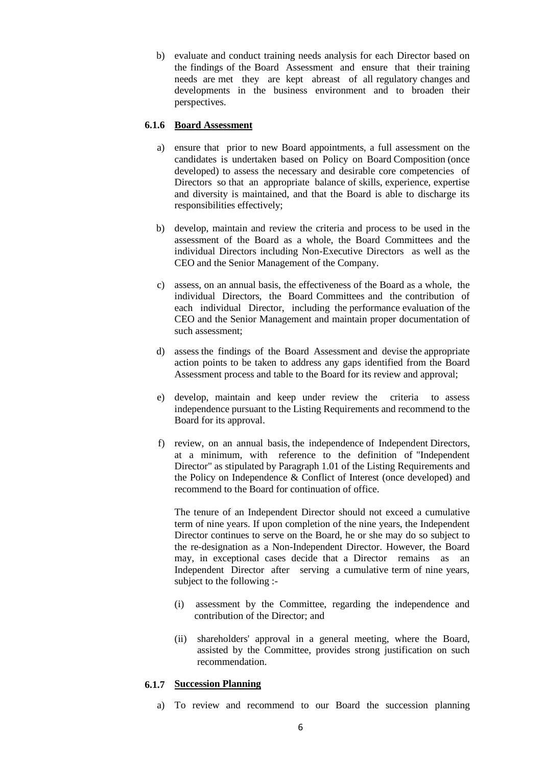b) evaluate and conduct training needs analysis for each Director based on the findings of the Board Assessment and ensure that their training needs are met they are kept abreast of all regulatory changes and developments in the business environment and to broaden their perspectives.

### **6.1.6 Board Assessment**

- a) ensure that prior to new Board appointments, a full assessment on the candidates is undertaken based on Policy on Board Composition (once developed) to assess the necessary and desirable core competencies of Directors so that an appropriate balance of skills, experience, expertise and diversity is maintained, and that the Board is able to discharge its responsibilities effectively;
- b) develop, maintain and review the criteria and process to be used in the assessment of the Board as a whole, the Board Committees and the individual Directors including Non-Executive Directors as well as the CEO and the Senior Management of the Company.
- c) assess, on an annual basis, the effectiveness of the Board as a whole, the individual Directors, the Board Committees and the contribution of each individual Director, including the performance evaluation of the CEO and the Senior Management and maintain proper documentation of such assessment;
- d) assess the findings of the Board Assessment and devise the appropriate action points to be taken to address any gaps identified from the Board Assessment process and table to the Board for its review and approval;
- e) develop, maintain and keep under review the criteria to assess independence pursuant to the Listing Requirements and recommend to the Board for its approval.
- f) review, on an annual basis, the independence of Independent Directors, at a minimum, with reference to the definition of "Independent Director" as stipulated by Paragraph 1.01 of the Listing Requirements and the Policy on Independence & Conflict of Interest (once developed) and recommend to the Board for continuation of office.

The tenure of an Independent Director should not exceed a cumulative term of nine years. If upon completion of the nine years, the Independent Director continues to serve on the Board, he or she may do so subject to the re-designation as a Non-Independent Director. However, the Board may, in exceptional cases decide that a Director remains as an Independent Director after serving a cumulative term of nine years, subject to the following :-

- (i) assessment by the Committee, regarding the independence and contribution of the Director; and
- (ii) shareholders' approval in a general meeting, where the Board, assisted by the Committee, provides strong justification on such recommendation.

### **6.1.7 Succession Planning**

a) To review and recommend to our Board the succession planning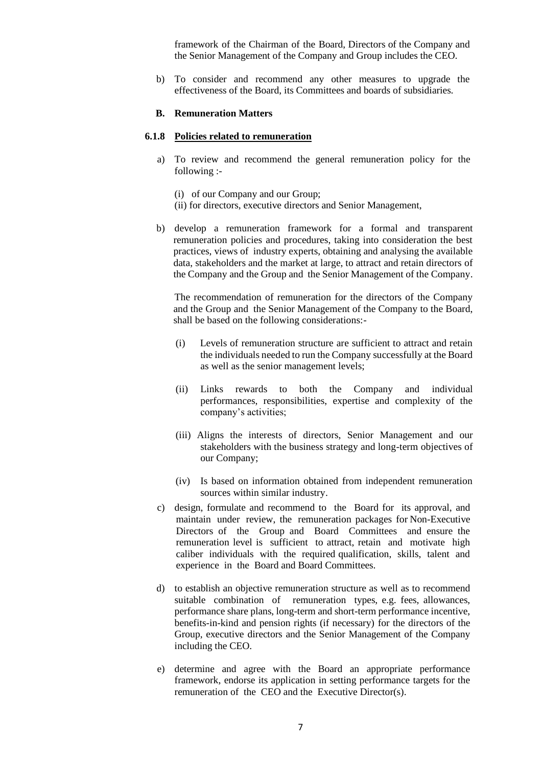framework of the Chairman of the Board, Directors of the Company and the Senior Management of the Company and Group includes the CEO.

b) To consider and recommend any other measures to upgrade the effectiveness of the Board, its Committees and boards of subsidiaries.

#### **B. Remuneration Matters**

#### **6.1.8 Policies related to remuneration**

- a) To review and recommend the general remuneration policy for the following :-
	- (i) of our Company and our Group;
	- (ii) for directors, executive directors and Senior Management,
- b) develop a remuneration framework for a formal and transparent remuneration policies and procedures, taking into consideration the best practices, views of industry experts, obtaining and analysing the available data, stakeholders and the market at large, to attract and retain directors of the Company and the Group and the Senior Management of the Company.

The recommendation of remuneration for the directors of the Company and the Group and the Senior Management of the Company to the Board, shall be based on the following considerations:-

- (i) Levels of remuneration structure are sufficient to attract and retain the individuals needed to run the Company successfully at the Board as well as the senior management levels;
- (ii) Links rewards to both the Company and individual performances, responsibilities, expertise and complexity of the company's activities;
- (iii) Aligns the interests of directors, Senior Management and our stakeholders with the business strategy and long-term objectives of our Company;
- (iv) Is based on information obtained from independent remuneration sources within similar industry.
- c) design, formulate and recommend to the Board for its approval, and maintain under review, the remuneration packages for Non-Executive Directors of the Group and Board Committees and ensure the remuneration level is sufficient to attract, retain and motivate high caliber individuals with the required qualification, skills, talent and experience in the Board and Board Committees.
- d) to establish an objective remuneration structure as well as to recommend suitable combination of remuneration types, e.g. fees, allowances, performance share plans, long-term and short-term performance incentive, benefits-in-kind and pension rights (if necessary) for the directors of the Group, executive directors and the Senior Management of the Company including the CEO.
- e) determine and agree with the Board an appropriate performance framework, endorse its application in setting performance targets for the remuneration of the CEO and the Executive Director(s).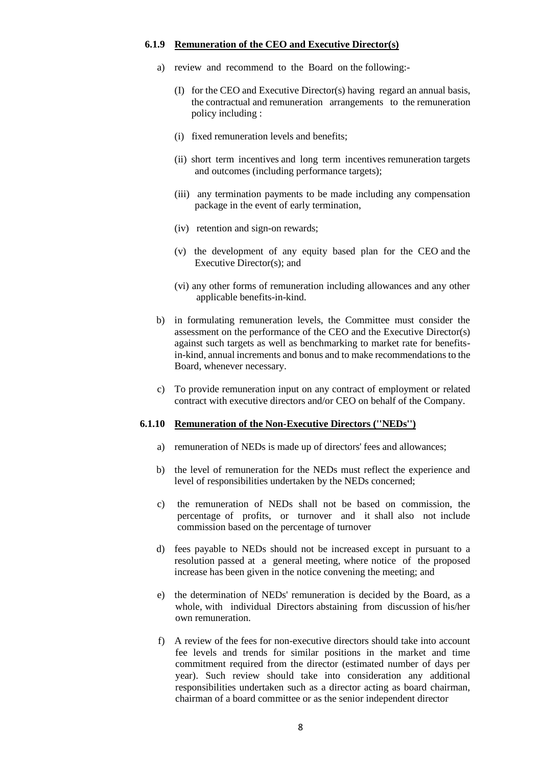#### **6.1.9 Remuneration of the CEO and Executive Director(s)**

- a) review and recommend to the Board on the following:-
	- (I) for the CEO and Executive Director(s) having regard an annual basis, the contractual and remuneration arrangements to the remuneration policy including :
	- (i) fixed remuneration levels and benefits;
	- (ii) short term incentives and long term incentives remuneration targets and outcomes (including performance targets);
	- (iii) any termination payments to be made including any compensation package in the event of early termination,
	- (iv) retention and sign-on rewards;
	- (v) the development of any equity based plan for the CEO and the Executive Director(s); and
	- (vi) any other forms of remuneration including allowances and any other applicable benefits-in-kind.
- b) in formulating remuneration levels, the Committee must consider the assessment on the performance of the CEO and the Executive Director(s) against such targets as well as benchmarking to market rate for benefitsin-kind, annual increments and bonus and to make recommendations to the Board, whenever necessary.
- c) To provide remuneration input on any contract of employment or related contract with executive directors and/or CEO on behalf of the Company.

#### **6.1.10 Remuneration of the Non-Executive Directors (''NEDs'')**

- a) remuneration of NEDs is made up of directors' fees and allowances;
- b) the level of remuneration for the NEDs must reflect the experience and level of responsibilities undertaken by the NEDs concerned;
- c) the remuneration of NEDs shall not be based on commission, the percentage of profits, or turnover and it shall also not include commission based on the percentage of turnover
- d) fees payable to NEDs should not be increased except in pursuant to a resolution passed at a general meeting, where notice of the proposed increase has been given in the notice convening the meeting; and
- e) the determination of NEDs' remuneration is decided by the Board, as a whole, with individual Directors abstaining from discussion of his/her own remuneration.
- f) A review of the fees for non-executive directors should take into account fee levels and trends for similar positions in the market and time commitment required from the director (estimated number of days per year). Such review should take into consideration any additional responsibilities undertaken such as a director acting as board chairman, chairman of a board committee or as the senior independent director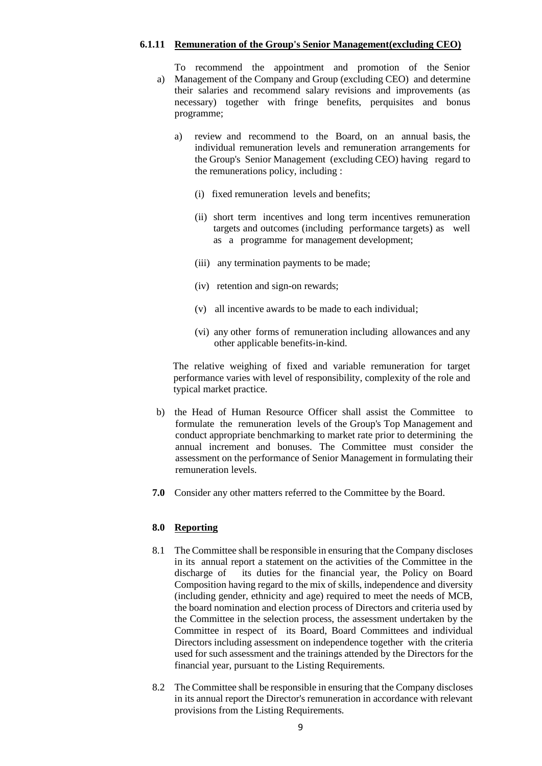### **6.1.11 Remuneration of the Group's Senior Management(excluding CEO)**

a) Management of the Company and Group (excluding CEO) and determine To recommend the appointment and promotion of the Senior their salaries and recommend salary revisions and improvements (as necessary) together with fringe benefits, perquisites and bonus programme;

- a) review and recommend to the Board, on an annual basis, the individual remuneration levels and remuneration arrangements for the Group's Senior Management (excluding CEO) having regard to the remunerations policy, including :
	- (i) fixed remuneration levels and benefits;
	- (ii) short term incentives and long term incentives remuneration targets and outcomes (including performance targets) as well as a programme for management development;
	- (iii) any termination payments to be made;
	- (iv) retention and sign-on rewards;
	- (v) all incentive awards to be made to each individual;
	- (vi) any other forms of remuneration including allowances and any other applicable benefits-in-kind.

The relative weighing of fixed and variable remuneration for target performance varies with level of responsibility, complexity of the role and typical market practice.

- b) the Head of Human Resource Officer shall assist the Committee to formulate the remuneration levels of the Group's Top Management and conduct appropriate benchmarking to market rate prior to determining the annual increment and bonuses. The Committee must consider the assessment on the performance of Senior Management in formulating their remuneration levels.
- **7.0** Consider any other matters referred to the Committee by the Board.

### **8.0 Reporting**

- 8.1 The Committee shall be responsible in ensuring that the Company discloses in its annual report a statement on the activities of the Committee in the discharge of its duties for the financial year, the Policy on Board Composition having regard to the mix of skills, independence and diversity (including gender, ethnicity and age) required to meet the needs of MCB, the board nomination and election process of Directors and criteria used by the Committee in the selection process, the assessment undertaken by the Committee in respect of its Board, Board Committees and individual Directors including assessment on independence together with the criteria used for such assessment and the trainings attended by the Directors for the financial year, pursuant to the Listing Requirements.
- 8.2 The Committee shall be responsible in ensuring that the Company discloses in its annual report the Director's remuneration in accordance with relevant provisions from the Listing Requirements.